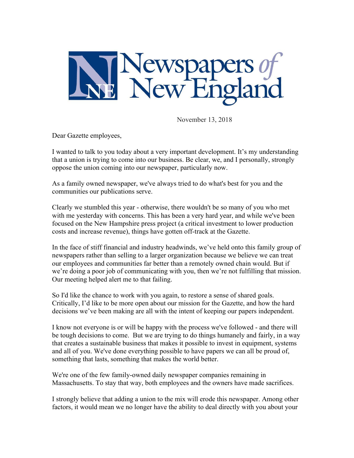

November 13, 2018

Dear Gazette employees,

I wanted to talk to you today about a very important development. It's my understanding that a union is trying to come into our business. Be clear, we, and I personally, strongly oppose the union coming into our newspaper, particularly now.

As a family owned newspaper, we've always tried to do what's best for you and the communities our publications serve.

Clearly we stumbled this year - otherwise, there wouldn't be so many of you who met with me yesterday with concerns. This has been a very hard year, and while we've been focused on the New Hampshire press project (a critical investment to lower production costs and increase revenue), things have gotten off-track at the Gazette.

In the face of stiff financial and industry headwinds, we've held onto this family group of newspapers rather than selling to a larger organization because we believe we can treat our employees and communities far better than a remotely owned chain would. But if we're doing a poor job of communicating with you, then we're not fulfilling that mission. Our meeting helped alert me to that failing.

So I'd like the chance to work with you again, to restore a sense of shared goals. Critically, I'd like to be more open about our mission for the Gazette, and how the hard decisions we've been making are all with the intent of keeping our papers independent.

I know not everyone is or will be happy with the process we've followed - and there will be tough decisions to come. But we are trying to do things humanely and fairly, in a way that creates a sustainable business that makes it possible to invest in equipment, systems and all of you. We've done everything possible to have papers we can all be proud of, something that lasts, something that makes the world better.

We're one of the few family-owned daily newspaper companies remaining in Massachusetts. To stay that way, both employees and the owners have made sacrifices.

I strongly believe that adding a union to the mix will erode this newspaper. Among other factors, it would mean we no longer have the ability to deal directly with you about your